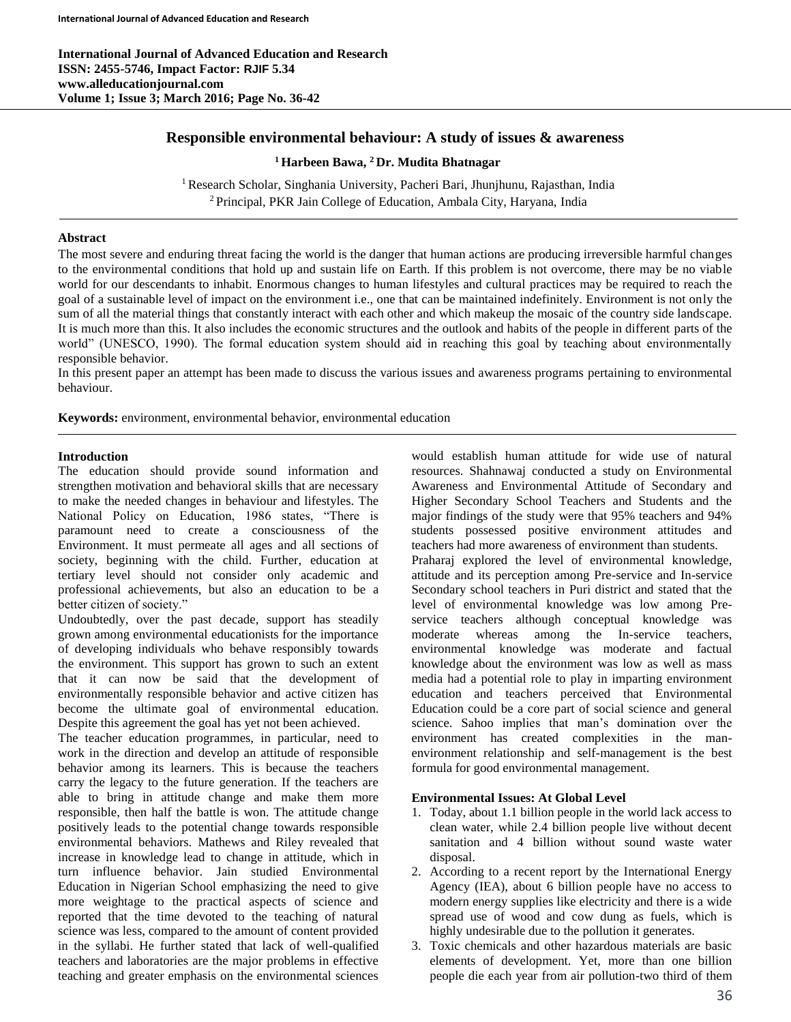**International Journal of Advanced Education and Research ISSN: 2455-5746, Impact Factor: RJIF 5.34 www.alleducationjournal.com Volume 1; Issue 3; March 2016; Page No. 36-42**

# **Responsible environmental behaviour: A study of issues & awareness**

**<sup>1</sup> Harbeen Bawa, <sup>2</sup> Dr. Mudita Bhatnagar**

<sup>1</sup> Research Scholar, Singhania University, Pacheri Bari, Jhunjhunu, Rajasthan, India <sup>2</sup> Principal, PKR Jain College of Education, Ambala City, Haryana, India

#### **Abstract**

The most severe and enduring threat facing the world is the danger that human actions are producing irreversible harmful changes to the environmental conditions that hold up and sustain life on Earth. If this problem is not overcome, there may be no viable world for our descendants to inhabit. Enormous changes to human lifestyles and cultural practices may be required to reach the goal of a sustainable level of impact on the environment i.e., one that can be maintained indefinitely. Environment is not only the sum of all the material things that constantly interact with each other and which makeup the mosaic of the country side landscape. It is much more than this. It also includes the economic structures and the outlook and habits of the people in different parts of the world" (UNESCO, 1990). The formal education system should aid in reaching this goal by teaching about environmentally responsible behavior.

In this present paper an attempt has been made to discuss the various issues and awareness programs pertaining to environmental behaviour.

**Keywords:** environment, environmental behavior, environmental education

## **Introduction**

The education should provide sound information and strengthen motivation and behavioral skills that are necessary to make the needed changes in behaviour and lifestyles. The National Policy on Education, 1986 states, "There is paramount need to create a consciousness of the Environment. It must permeate all ages and all sections of society, beginning with the child. Further, education at tertiary level should not consider only academic and professional achievements, but also an education to be a better citizen of society."

Undoubtedly, over the past decade, support has steadily grown among environmental educationists for the importance of developing individuals who behave responsibly towards the environment. This support has grown to such an extent that it can now be said that the development of environmentally responsible behavior and active citizen has become the ultimate goal of environmental education. Despite this agreement the goal has yet not been achieved.

The teacher education programmes, in particular, need to work in the direction and develop an attitude of responsible behavior among its learners. This is because the teachers carry the legacy to the future generation. If the teachers are able to bring in attitude change and make them more responsible, then half the battle is won. The attitude change positively leads to the potential change towards responsible environmental behaviors. Mathews and Riley revealed that increase in knowledge lead to change in attitude, which in turn influence behavior. Jain studied Environmental Education in Nigerian School emphasizing the need to give more weightage to the practical aspects of science and reported that the time devoted to the teaching of natural science was less, compared to the amount of content provided in the syllabi. He further stated that lack of well-qualified teachers and laboratories are the major problems in effective teaching and greater emphasis on the environmental sciences

would establish human attitude for wide use of natural resources. Shahnawaj conducted a study on Environmental Awareness and Environmental Attitude of Secondary and Higher Secondary School Teachers and Students and the major findings of the study were that 95% teachers and 94% students possessed positive environment attitudes and teachers had more awareness of environment than students.

Praharaj explored the level of environmental knowledge, attitude and its perception among Pre-service and In-service Secondary school teachers in Puri district and stated that the level of environmental knowledge was low among Preservice teachers although conceptual knowledge was moderate whereas among the In-service teachers, environmental knowledge was moderate and factual knowledge about the environment was low as well as mass media had a potential role to play in imparting environment education and teachers perceived that Environmental Education could be a core part of social science and general science. Sahoo implies that man's domination over the environment has created complexities in the manenvironment relationship and self-management is the best formula for good environmental management.

#### **Environmental Issues: At Global Level**

- 1. Today, about 1.1 billion people in the world lack access to clean water, while 2.4 billion people live without decent sanitation and 4 billion without sound waste water disposal.
- 2. According to a recent report by the International Energy Agency (IEA), about 6 billion people have no access to modern energy supplies like electricity and there is a wide spread use of wood and cow dung as fuels, which is highly undesirable due to the pollution it generates.
- 3. Toxic chemicals and other hazardous materials are basic elements of development. Yet, more than one billion people die each year from air pollution-two third of them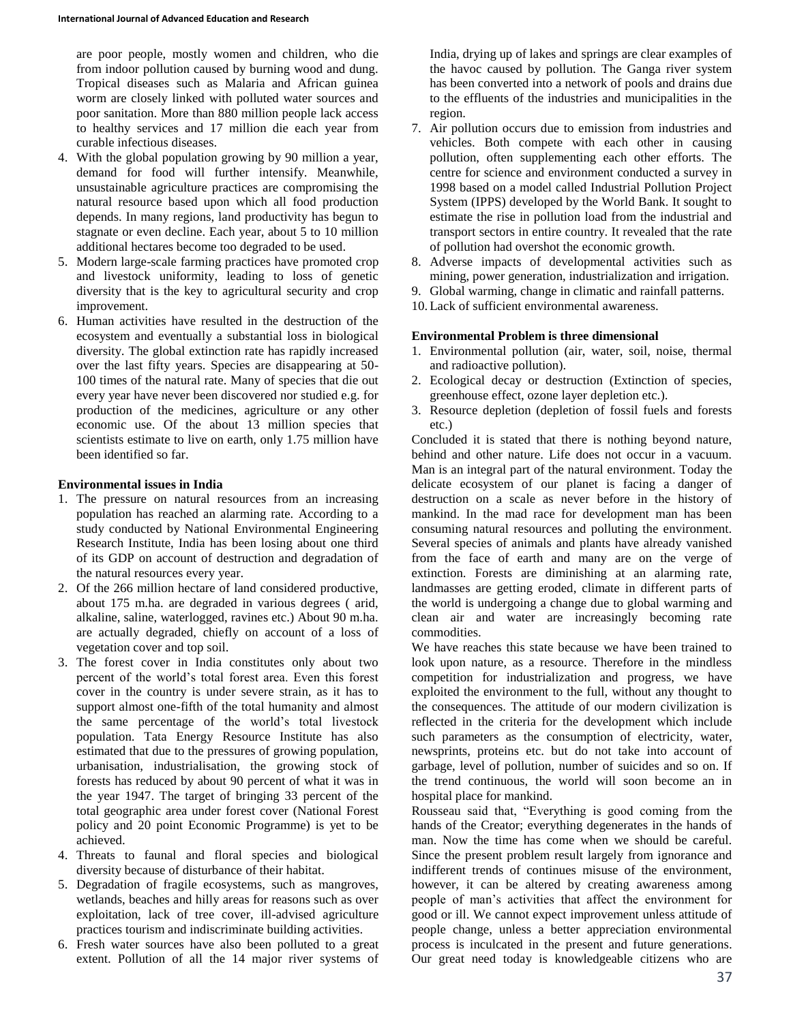are poor people, mostly women and children, who die from indoor pollution caused by burning wood and dung. Tropical diseases such as Malaria and African guinea worm are closely linked with polluted water sources and poor sanitation. More than 880 million people lack access to healthy services and 17 million die each year from curable infectious diseases.

- 4. With the global population growing by 90 million a year, demand for food will further intensify. Meanwhile, unsustainable agriculture practices are compromising the natural resource based upon which all food production depends. In many regions, land productivity has begun to stagnate or even decline. Each year, about 5 to 10 million additional hectares become too degraded to be used.
- 5. Modern large-scale farming practices have promoted crop and livestock uniformity, leading to loss of genetic diversity that is the key to agricultural security and crop improvement.
- 6. Human activities have resulted in the destruction of the ecosystem and eventually a substantial loss in biological diversity. The global extinction rate has rapidly increased over the last fifty years. Species are disappearing at 50- 100 times of the natural rate. Many of species that die out every year have never been discovered nor studied e.g. for production of the medicines, agriculture or any other economic use. Of the about 13 million species that scientists estimate to live on earth, only 1.75 million have been identified so far.

#### **Environmental issues in India**

- 1. The pressure on natural resources from an increasing population has reached an alarming rate. According to a study conducted by National Environmental Engineering Research Institute, India has been losing about one third of its GDP on account of destruction and degradation of the natural resources every year.
- 2. Of the 266 million hectare of land considered productive, about 175 m.ha. are degraded in various degrees ( arid, alkaline, saline, waterlogged, ravines etc.) About 90 m.ha. are actually degraded, chiefly on account of a loss of vegetation cover and top soil.
- 3. The forest cover in India constitutes only about two percent of the world's total forest area. Even this forest cover in the country is under severe strain, as it has to support almost one-fifth of the total humanity and almost the same percentage of the world's total livestock population. Tata Energy Resource Institute has also estimated that due to the pressures of growing population, urbanisation, industrialisation, the growing stock of forests has reduced by about 90 percent of what it was in the year 1947. The target of bringing 33 percent of the total geographic area under forest cover (National Forest policy and 20 point Economic Programme) is yet to be achieved.
- 4. Threats to faunal and floral species and biological diversity because of disturbance of their habitat.
- 5. Degradation of fragile ecosystems, such as mangroves, wetlands, beaches and hilly areas for reasons such as over exploitation, lack of tree cover, ill-advised agriculture practices tourism and indiscriminate building activities.
- 6. Fresh water sources have also been polluted to a great extent. Pollution of all the 14 major river systems of

India, drying up of lakes and springs are clear examples of the havoc caused by pollution. The Ganga river system has been converted into a network of pools and drains due to the effluents of the industries and municipalities in the region.

- 7. Air pollution occurs due to emission from industries and vehicles. Both compete with each other in causing pollution, often supplementing each other efforts. The centre for science and environment conducted a survey in 1998 based on a model called Industrial Pollution Project System (IPPS) developed by the World Bank. It sought to estimate the rise in pollution load from the industrial and transport sectors in entire country. It revealed that the rate of pollution had overshot the economic growth.
- 8. Adverse impacts of developmental activities such as mining, power generation, industrialization and irrigation.
- 9. Global warming, change in climatic and rainfall patterns.
- 10. Lack of sufficient environmental awareness.

# **Environmental Problem is three dimensional**

- 1. Environmental pollution (air, water, soil, noise, thermal and radioactive pollution).
- 2. Ecological decay or destruction (Extinction of species, greenhouse effect, ozone layer depletion etc.).
- 3. Resource depletion (depletion of fossil fuels and forests etc.)

Concluded it is stated that there is nothing beyond nature, behind and other nature. Life does not occur in a vacuum. Man is an integral part of the natural environment. Today the delicate ecosystem of our planet is facing a danger of destruction on a scale as never before in the history of mankind. In the mad race for development man has been consuming natural resources and polluting the environment. Several species of animals and plants have already vanished from the face of earth and many are on the verge of extinction. Forests are diminishing at an alarming rate, landmasses are getting eroded, climate in different parts of the world is undergoing a change due to global warming and clean air and water are increasingly becoming rate commodities.

We have reaches this state because we have been trained to look upon nature, as a resource. Therefore in the mindless competition for industrialization and progress, we have exploited the environment to the full, without any thought to the consequences. The attitude of our modern civilization is reflected in the criteria for the development which include such parameters as the consumption of electricity, water, newsprints, proteins etc. but do not take into account of garbage, level of pollution, number of suicides and so on. If the trend continuous, the world will soon become an in hospital place for mankind.

Rousseau said that, "Everything is good coming from the hands of the Creator; everything degenerates in the hands of man. Now the time has come when we should be careful. Since the present problem result largely from ignorance and indifferent trends of continues misuse of the environment, however, it can be altered by creating awareness among people of man's activities that affect the environment for good or ill. We cannot expect improvement unless attitude of people change, unless a better appreciation environmental process is inculcated in the present and future generations. Our great need today is knowledgeable citizens who are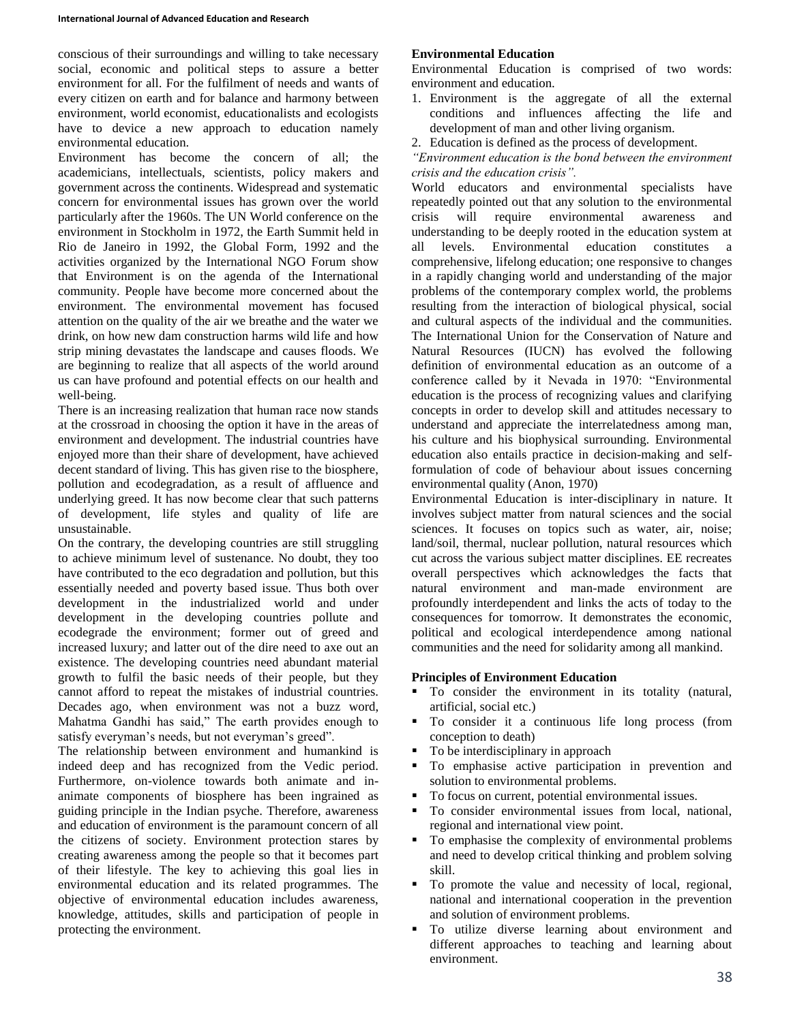conscious of their surroundings and willing to take necessary social, economic and political steps to assure a better environment for all. For the fulfilment of needs and wants of every citizen on earth and for balance and harmony between environment, world economist, educationalists and ecologists have to device a new approach to education namely environmental education.

Environment has become the concern of all; the academicians, intellectuals, scientists, policy makers and government across the continents. Widespread and systematic concern for environmental issues has grown over the world particularly after the 1960s. The UN World conference on the environment in Stockholm in 1972, the Earth Summit held in Rio de Janeiro in 1992, the Global Form, 1992 and the activities organized by the International NGO Forum show that Environment is on the agenda of the International community. People have become more concerned about the environment. The environmental movement has focused attention on the quality of the air we breathe and the water we drink, on how new dam construction harms wild life and how strip mining devastates the landscape and causes floods. We are beginning to realize that all aspects of the world around us can have profound and potential effects on our health and well-being.

There is an increasing realization that human race now stands at the crossroad in choosing the option it have in the areas of environment and development. The industrial countries have enjoyed more than their share of development, have achieved decent standard of living. This has given rise to the biosphere, pollution and ecodegradation, as a result of affluence and underlying greed. It has now become clear that such patterns of development, life styles and quality of life are unsustainable.

On the contrary, the developing countries are still struggling to achieve minimum level of sustenance. No doubt, they too have contributed to the eco degradation and pollution, but this essentially needed and poverty based issue. Thus both over development in the industrialized world and under development in the developing countries pollute and ecodegrade the environment; former out of greed and increased luxury; and latter out of the dire need to axe out an existence. The developing countries need abundant material growth to fulfil the basic needs of their people, but they cannot afford to repeat the mistakes of industrial countries. Decades ago, when environment was not a buzz word, Mahatma Gandhi has said," The earth provides enough to satisfy everyman's needs, but not everyman's greed".

The relationship between environment and humankind is indeed deep and has recognized from the Vedic period. Furthermore, on-violence towards both animate and inanimate components of biosphere has been ingrained as guiding principle in the Indian psyche. Therefore, awareness and education of environment is the paramount concern of all the citizens of society. Environment protection stares by creating awareness among the people so that it becomes part of their lifestyle. The key to achieving this goal lies in environmental education and its related programmes. The objective of environmental education includes awareness, knowledge, attitudes, skills and participation of people in protecting the environment.

## **Environmental Education**

Environmental Education is comprised of two words: environment and education.

- 1. Environment is the aggregate of all the external conditions and influences affecting the life and development of man and other living organism.
- 2. Education is defined as the process of development.
- *"Environment education is the bond between the environment crisis and the education crisis".*

World educators and environmental specialists have repeatedly pointed out that any solution to the environmental crisis will require environmental awareness and understanding to be deeply rooted in the education system at all levels. Environmental education constitutes a comprehensive, lifelong education; one responsive to changes in a rapidly changing world and understanding of the major problems of the contemporary complex world, the problems resulting from the interaction of biological physical, social and cultural aspects of the individual and the communities. The International Union for the Conservation of Nature and Natural Resources (IUCN) has evolved the following definition of environmental education as an outcome of a conference called by it Nevada in 1970: "Environmental education is the process of recognizing values and clarifying concepts in order to develop skill and attitudes necessary to understand and appreciate the interrelatedness among man, his culture and his biophysical surrounding. Environmental education also entails practice in decision-making and selfformulation of code of behaviour about issues concerning environmental quality (Anon, 1970)

Environmental Education is inter-disciplinary in nature. It involves subject matter from natural sciences and the social sciences. It focuses on topics such as water, air, noise; land/soil, thermal, nuclear pollution, natural resources which cut across the various subject matter disciplines. EE recreates overall perspectives which acknowledges the facts that natural environment and man-made environment are profoundly interdependent and links the acts of today to the consequences for tomorrow. It demonstrates the economic, political and ecological interdependence among national communities and the need for solidarity among all mankind.

## **Principles of Environment Education**

- To consider the environment in its totality (natural, artificial, social etc.)
- To consider it a continuous life long process (from conception to death)
- To be interdisciplinary in approach
- To emphasise active participation in prevention and solution to environmental problems.
- To focus on current, potential environmental issues.
- To consider environmental issues from local, national, regional and international view point.
- To emphasise the complexity of environmental problems and need to develop critical thinking and problem solving skill.
- To promote the value and necessity of local, regional, national and international cooperation in the prevention and solution of environment problems.
- To utilize diverse learning about environment and different approaches to teaching and learning about environment.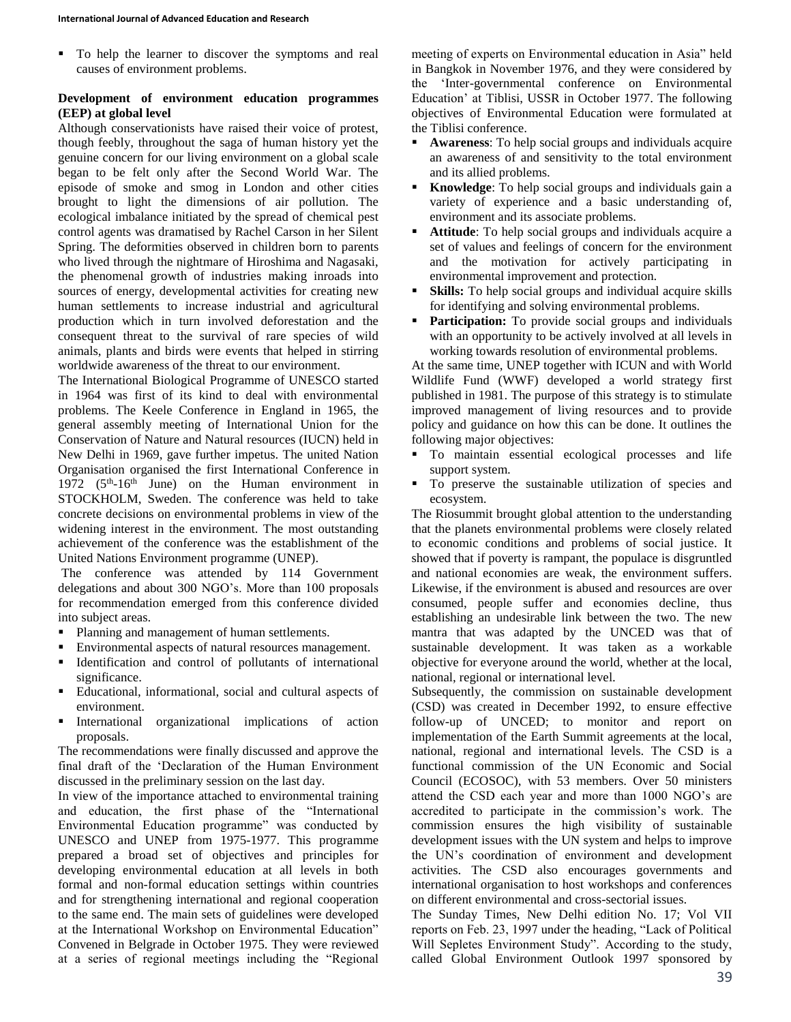To help the learner to discover the symptoms and real causes of environment problems.

## **Development of environment education programmes (EEP) at global level**

Although conservationists have raised their voice of protest, though feebly, throughout the saga of human history yet the genuine concern for our living environment on a global scale began to be felt only after the Second World War. The episode of smoke and smog in London and other cities brought to light the dimensions of air pollution. The ecological imbalance initiated by the spread of chemical pest control agents was dramatised by Rachel Carson in her Silent Spring. The deformities observed in children born to parents who lived through the nightmare of Hiroshima and Nagasaki, the phenomenal growth of industries making inroads into sources of energy, developmental activities for creating new human settlements to increase industrial and agricultural production which in turn involved deforestation and the consequent threat to the survival of rare species of wild animals, plants and birds were events that helped in stirring worldwide awareness of the threat to our environment.

The International Biological Programme of UNESCO started in 1964 was first of its kind to deal with environmental problems. The Keele Conference in England in 1965, the general assembly meeting of International Union for the Conservation of Nature and Natural resources (IUCN) held in New Delhi in 1969, gave further impetus. The united Nation Organisation organised the first International Conference in 1972  $(5<sup>th</sup>-16<sup>th</sup>$  June) on the Human environment in STOCKHOLM, Sweden. The conference was held to take concrete decisions on environmental problems in view of the widening interest in the environment. The most outstanding achievement of the conference was the establishment of the United Nations Environment programme (UNEP).

The conference was attended by 114 Government delegations and about 300 NGO's. More than 100 proposals for recommendation emerged from this conference divided into subject areas.

- Planning and management of human settlements.
- Environmental aspects of natural resources management.
- Identification and control of pollutants of international significance.
- Educational, informational, social and cultural aspects of environment.
- **International organizational implications of action** proposals.

The recommendations were finally discussed and approve the final draft of the 'Declaration of the Human Environment discussed in the preliminary session on the last day.

In view of the importance attached to environmental training and education, the first phase of the "International Environmental Education programme" was conducted by UNESCO and UNEP from 1975-1977. This programme prepared a broad set of objectives and principles for developing environmental education at all levels in both formal and non-formal education settings within countries and for strengthening international and regional cooperation to the same end. The main sets of guidelines were developed at the International Workshop on Environmental Education" Convened in Belgrade in October 1975. They were reviewed at a series of regional meetings including the "Regional

meeting of experts on Environmental education in Asia" held in Bangkok in November 1976, and they were considered by the 'Inter-governmental conference on Environmental Education' at Tiblisi, USSR in October 1977. The following objectives of Environmental Education were formulated at the Tiblisi conference.

- **Awareness**: To help social groups and individuals acquire an awareness of and sensitivity to the total environment and its allied problems.
- **Knowledge:** To help social groups and individuals gain a variety of experience and a basic understanding of, environment and its associate problems.
- **Attitude**: To help social groups and individuals acquire a set of values and feelings of concern for the environment and the motivation for actively participating in environmental improvement and protection.
- **Skills:** To help social groups and individual acquire skills for identifying and solving environmental problems.
- Participation: To provide social groups and individuals with an opportunity to be actively involved at all levels in working towards resolution of environmental problems.

At the same time, UNEP together with ICUN and with World Wildlife Fund (WWF) developed a world strategy first published in 1981. The purpose of this strategy is to stimulate improved management of living resources and to provide policy and guidance on how this can be done. It outlines the following major objectives:

- To maintain essential ecological processes and life support system.
- To preserve the sustainable utilization of species and ecosystem.

The Riosummit brought global attention to the understanding that the planets environmental problems were closely related to economic conditions and problems of social justice. It showed that if poverty is rampant, the populace is disgruntled and national economies are weak, the environment suffers. Likewise, if the environment is abused and resources are over consumed, people suffer and economies decline, thus establishing an undesirable link between the two. The new mantra that was adapted by the UNCED was that of sustainable development. It was taken as a workable objective for everyone around the world, whether at the local, national, regional or international level.

Subsequently, the commission on sustainable development (CSD) was created in December 1992, to ensure effective follow-up of UNCED; to monitor and report on implementation of the Earth Summit agreements at the local, national, regional and international levels. The CSD is a functional commission of the UN Economic and Social Council (ECOSOC), with 53 members. Over 50 ministers attend the CSD each year and more than 1000 NGO's are accredited to participate in the commission's work. The commission ensures the high visibility of sustainable development issues with the UN system and helps to improve the UN's coordination of environment and development activities. The CSD also encourages governments and international organisation to host workshops and conferences on different environmental and cross-sectorial issues.

The Sunday Times, New Delhi edition No. 17; Vol VII reports on Feb. 23, 1997 under the heading, "Lack of Political Will Sepletes Environment Study". According to the study, called Global Environment Outlook 1997 sponsored by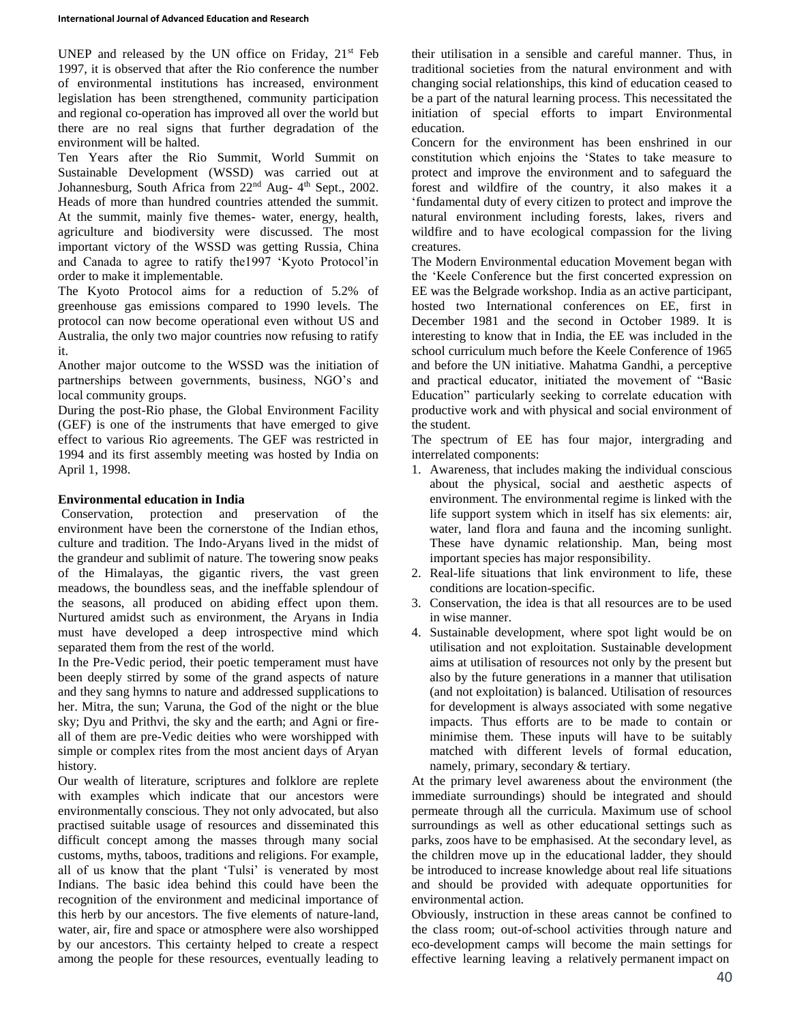UNEP and released by the UN office on Friday,  $21<sup>st</sup>$  Feb 1997, it is observed that after the Rio conference the number of environmental institutions has increased, environment legislation has been strengthened, community participation and regional co-operation has improved all over the world but there are no real signs that further degradation of the environment will be halted.

Ten Years after the Rio Summit, World Summit on Sustainable Development (WSSD) was carried out at Johannesburg, South Africa from 22<sup>nd</sup> Aug- 4<sup>th</sup> Sept., 2002. Heads of more than hundred countries attended the summit. At the summit, mainly five themes- water, energy, health, agriculture and biodiversity were discussed. The most important victory of the WSSD was getting Russia, China and Canada to agree to ratify the1997 'Kyoto Protocol'in order to make it implementable.

The Kyoto Protocol aims for a reduction of 5.2% of greenhouse gas emissions compared to 1990 levels. The protocol can now become operational even without US and Australia, the only two major countries now refusing to ratify it.

Another major outcome to the WSSD was the initiation of partnerships between governments, business, NGO's and local community groups.

During the post-Rio phase, the Global Environment Facility (GEF) is one of the instruments that have emerged to give effect to various Rio agreements. The GEF was restricted in 1994 and its first assembly meeting was hosted by India on April 1, 1998.

# **Environmental education in India**

Conservation, protection and preservation of the environment have been the cornerstone of the Indian ethos, culture and tradition. The Indo-Aryans lived in the midst of the grandeur and sublimit of nature. The towering snow peaks of the Himalayas, the gigantic rivers, the vast green meadows, the boundless seas, and the ineffable splendour of the seasons, all produced on abiding effect upon them. Nurtured amidst such as environment, the Aryans in India must have developed a deep introspective mind which separated them from the rest of the world.

In the Pre-Vedic period, their poetic temperament must have been deeply stirred by some of the grand aspects of nature and they sang hymns to nature and addressed supplications to her. Mitra, the sun; Varuna, the God of the night or the blue sky; Dyu and Prithvi, the sky and the earth; and Agni or fireall of them are pre-Vedic deities who were worshipped with simple or complex rites from the most ancient days of Aryan history.

Our wealth of literature, scriptures and folklore are replete with examples which indicate that our ancestors were environmentally conscious. They not only advocated, but also practised suitable usage of resources and disseminated this difficult concept among the masses through many social customs, myths, taboos, traditions and religions. For example, all of us know that the plant 'Tulsi' is venerated by most Indians. The basic idea behind this could have been the recognition of the environment and medicinal importance of this herb by our ancestors. The five elements of nature-land, water, air, fire and space or atmosphere were also worshipped by our ancestors. This certainty helped to create a respect among the people for these resources, eventually leading to

their utilisation in a sensible and careful manner. Thus, in traditional societies from the natural environment and with changing social relationships, this kind of education ceased to be a part of the natural learning process. This necessitated the initiation of special efforts to impart Environmental education.

Concern for the environment has been enshrined in our constitution which enjoins the 'States to take measure to protect and improve the environment and to safeguard the forest and wildfire of the country, it also makes it a 'fundamental duty of every citizen to protect and improve the natural environment including forests, lakes, rivers and wildfire and to have ecological compassion for the living creatures.

The Modern Environmental education Movement began with the 'Keele Conference but the first concerted expression on EE was the Belgrade workshop. India as an active participant, hosted two International conferences on EE, first in December 1981 and the second in October 1989. It is interesting to know that in India, the EE was included in the school curriculum much before the Keele Conference of 1965 and before the UN initiative. Mahatma Gandhi, a perceptive and practical educator, initiated the movement of "Basic Education" particularly seeking to correlate education with productive work and with physical and social environment of the student.

The spectrum of EE has four major, intergrading and interrelated components:

- 1. Awareness, that includes making the individual conscious about the physical, social and aesthetic aspects of environment. The environmental regime is linked with the life support system which in itself has six elements: air, water, land flora and fauna and the incoming sunlight. These have dynamic relationship. Man, being most important species has major responsibility.
- 2. Real-life situations that link environment to life, these conditions are location-specific.
- 3. Conservation, the idea is that all resources are to be used in wise manner.
- 4. Sustainable development, where spot light would be on utilisation and not exploitation. Sustainable development aims at utilisation of resources not only by the present but also by the future generations in a manner that utilisation (and not exploitation) is balanced. Utilisation of resources for development is always associated with some negative impacts. Thus efforts are to be made to contain or minimise them. These inputs will have to be suitably matched with different levels of formal education, namely, primary, secondary & tertiary.

At the primary level awareness about the environment (the immediate surroundings) should be integrated and should permeate through all the curricula. Maximum use of school surroundings as well as other educational settings such as parks, zoos have to be emphasised. At the secondary level, as the children move up in the educational ladder, they should be introduced to increase knowledge about real life situations and should be provided with adequate opportunities for environmental action.

Obviously, instruction in these areas cannot be confined to the class room; out-of-school activities through nature and eco-development camps will become the main settings for effective learning leaving a relatively permanent impact on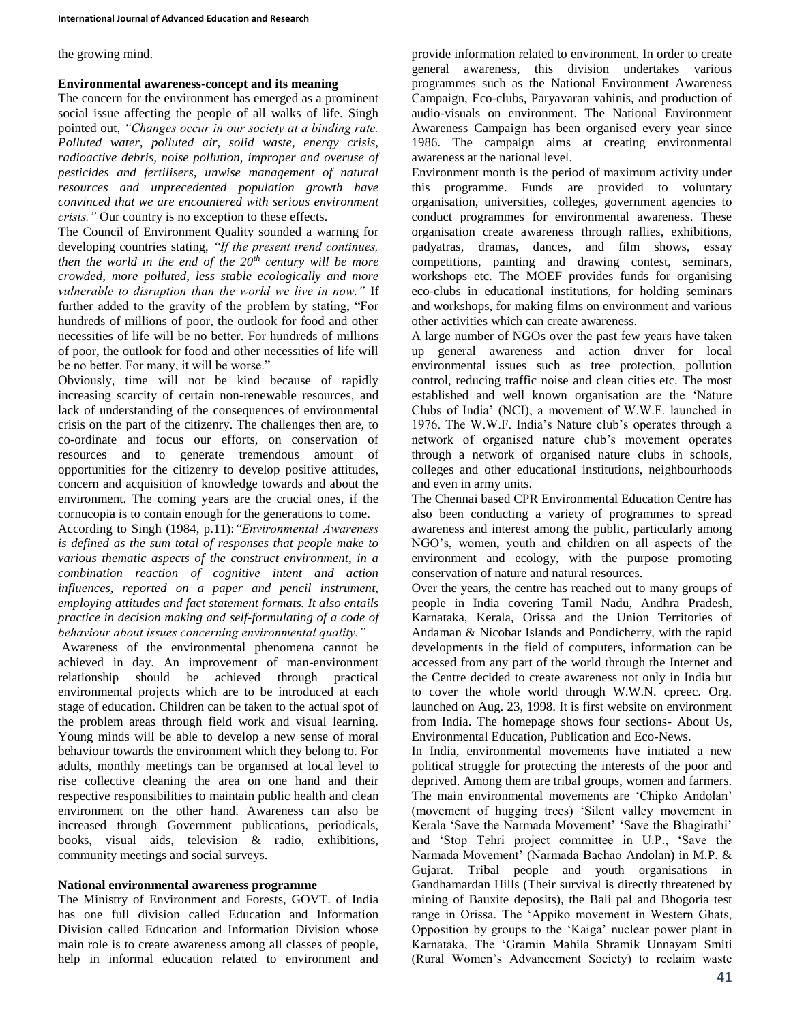#### the growing mind.

# **Environmental awareness-concept and its meaning**

The concern for the environment has emerged as a prominent social issue affecting the people of all walks of life. Singh pointed out, *"Changes occur in our society at a binding rate. Polluted water, polluted air, solid waste, energy crisis, radioactive debris, noise pollution, improper and overuse of pesticides and fertilisers, unwise management of natural resources and unprecedented population growth have convinced that we are encountered with serious environment crisis."* Our country is no exception to these effects.

The Council of Environment Quality sounded a warning for developing countries stating, *"If the present trend continues, then the world in the end of the 20th century will be more crowded, more polluted, less stable ecologically and more vulnerable to disruption than the world we live in now."* If further added to the gravity of the problem by stating, "For hundreds of millions of poor, the outlook for food and other necessities of life will be no better. For hundreds of millions of poor, the outlook for food and other necessities of life will be no better. For many, it will be worse."

Obviously, time will not be kind because of rapidly increasing scarcity of certain non-renewable resources, and lack of understanding of the consequences of environmental crisis on the part of the citizenry. The challenges then are, to co-ordinate and focus our efforts, on conservation of resources and to generate tremendous amount of opportunities for the citizenry to develop positive attitudes, concern and acquisition of knowledge towards and about the environment. The coming years are the crucial ones, if the cornucopia is to contain enough for the generations to come.

According to Singh (1984, p.11):*"Environmental Awareness is defined as the sum total of responses that people make to various thematic aspects of the construct environment, in a combination reaction of cognitive intent and action influences, reported on a paper and pencil instrument, employing attitudes and fact statement formats. It also entails practice in decision making and self-formulating of a code of behaviour about issues concerning environmental quality."*

Awareness of the environmental phenomena cannot be achieved in day. An improvement of man-environment relationship should be achieved through practical environmental projects which are to be introduced at each stage of education. Children can be taken to the actual spot of the problem areas through field work and visual learning. Young minds will be able to develop a new sense of moral behaviour towards the environment which they belong to. For adults, monthly meetings can be organised at local level to rise collective cleaning the area on one hand and their respective responsibilities to maintain public health and clean environment on the other hand. Awareness can also be increased through Government publications, periodicals, books, visual aids, television & radio, exhibitions, community meetings and social surveys.

# **National environmental awareness programme**

The Ministry of Environment and Forests, GOVT. of India has one full division called Education and Information Division called Education and Information Division whose main role is to create awareness among all classes of people, help in informal education related to environment and

provide information related to environment. In order to create general awareness, this division undertakes various programmes such as the National Environment Awareness Campaign, Eco-clubs, Paryavaran vahinis, and production of audio-visuals on environment. The National Environment Awareness Campaign has been organised every year since 1986. The campaign aims at creating environmental awareness at the national level.

Environment month is the period of maximum activity under this programme. Funds are provided to voluntary organisation, universities, colleges, government agencies to conduct programmes for environmental awareness. These organisation create awareness through rallies, exhibitions, padyatras, dramas, dances, and film shows, essay competitions, painting and drawing contest, seminars, workshops etc. The MOEF provides funds for organising eco-clubs in educational institutions, for holding seminars and workshops, for making films on environment and various other activities which can create awareness.

A large number of NGOs over the past few years have taken up general awareness and action driver for local environmental issues such as tree protection, pollution control, reducing traffic noise and clean cities etc. The most established and well known organisation are the 'Nature Clubs of India' (NCI), a movement of W.W.F. launched in 1976. The W.W.F. India's Nature club's operates through a network of organised nature club's movement operates through a network of organised nature clubs in schools, colleges and other educational institutions, neighbourhoods and even in army units.

The Chennai based CPR Environmental Education Centre has also been conducting a variety of programmes to spread awareness and interest among the public, particularly among NGO's, women, youth and children on all aspects of the environment and ecology, with the purpose promoting conservation of nature and natural resources.

Over the years, the centre has reached out to many groups of people in India covering Tamil Nadu, Andhra Pradesh, Karnataka, Kerala, Orissa and the Union Territories of Andaman & Nicobar Islands and Pondicherry, with the rapid developments in the field of computers, information can be accessed from any part of the world through the Internet and the Centre decided to create awareness not only in India but to cover the whole world through W.W.N. cpreec. Org. launched on Aug. 23, 1998. It is first website on environment from India. The homepage shows four sections- About Us, Environmental Education, Publication and Eco-News.

In India, environmental movements have initiated a new political struggle for protecting the interests of the poor and deprived. Among them are tribal groups, women and farmers. The main environmental movements are 'Chipko Andolan' (movement of hugging trees) 'Silent valley movement in Kerala 'Save the Narmada Movement' 'Save the Bhagirathi' and 'Stop Tehri project committee in U.P., 'Save the Narmada Movement' (Narmada Bachao Andolan) in M.P. & Gujarat. Tribal people and youth organisations in Gandhamardan Hills (Their survival is directly threatened by mining of Bauxite deposits), the Bali pal and Bhogoria test range in Orissa. The 'Appiko movement in Western Ghats, Opposition by groups to the 'Kaiga' nuclear power plant in Karnataka, The 'Gramin Mahila Shramik Unnayam Smiti (Rural Women's Advancement Society) to reclaim waste